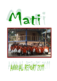



# AWNAL REPORT 2019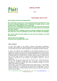

# 2011

# **Mymensingh, January 2012**

**Dear Friends, Partners and Supporters,** 

We would like to present our recent Annual Report and thank all of you for your continued support, be it of financial or logistic nature, or just a kind word or helping hand at the right time.

We draw a lot of strength for our every-day work from the fact that so many of you are genuinely interested in our work and how our projects and Mati develop.

This report is not a complete overview of all our projects and activities, but each year we try to illustrate our work with a number of examples.

We remain with the best wishes for you and your families, may God keep vou safe.

# **Andrea and Lenen Rahaman** Along with the complete Mati Team

# Mati in general:

In 2011, Mati worked at five different locations: Mymensingh, Borobilerpar, Azmotpur and the Millennium Village Harguzirpar in the District Mymensingh, as well as in the region around the village Huzurikanda in the neighbouring District Sherpur.

In 2011, we continued the consolidation of all activities concerning our loan programme. This area of work has been continuously expanding and now we had to redefine the concept in the context of a necessary registration with the Micro Finance Regualtion Authority should Mati decide to expand further. Then, we would have had to charge almost 20 % interest from our loanees. Since Mati does not think that the poor can pay these amounts of interest and still develop themselves. Thus we decided to restructure our loan program, and keeping it below the limit for registration.

We also made changes with regard to the use of loans, which in the future will only be given for pre-defined investments such as domestic animals, agricultural requirements, business investmet, solar lamps, educational purposes or as relief support after floods and droughts

2534 women in 84 women groups (previous year: 4479 women in 179 womens' groups) participated in our general training and awareness program in 2011. 1920 women received one or more interest free loans of up to 15,000 BDT in order to improve their situation. In flexible weekly instalments they are paying the loans back within one or two vears.

67/1 S.A. SARKER ROAD, SANKIPARA, MYMENSINGH TEL: 01712-380888 www.matibangladesh.org,  $\mathcal{D}_{\alpha}$ mati@matibangladesh.org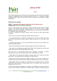



The mentoring/supervision of the Mati womens groups and the communal savings is financed in cooperation with our partner organisation Mati e.V. in Germany, whereas "Stiftung Brücke" takes over the costs for the 5 groups in the Millenium Village Harguzirpar

# **News from the projects:**

# **IDAEP - Integrated Development Approach for the Extreme Poor** supported by "Brot für die Welt" and "GIZ"

In 2011, 300 extremely poor families have been supported by Mati within he IDAEP program. The families received intense support in the areas nutrition, health, education and income generation. All families received an initial loan of 12,000 BDT for investment into a businsess idea.

In order to evaluate the project's impact, yearly surveys are done along preset *indicators* 

In 2011 we can manifest the following results that after 2 years:

- the income situation has improved in nearly all the families, and 45% have more than 200 TK daily family income, while in 2009 this was true for only 5% of the families

- increased food security, as 71% of the families say they eat more and better than before the project started.

- 60% of the families could make necessary repairs to their often deprecit huts.

- the making of new debts was slowed down, 75% of the families did not take new credits, the amount of outstanding debts was halved.

One main aim of the project besides mere reduction of poverty is women empowerment and increased social and economic participation of women:

- Nearly 80% of the women had access to money, which is an indicator that they participate in the decisionmaking processes at household level.

- 70% of the women had their own productive asset, such as a cow or chicken or a business they were doing themselves. Before the project this was true for only 28%.

- Participation within the project is connected to the condition that the families refrain from the practice of childmarriage. Thus the average child marriage rate dropped from 62% to 3%.

The project concentrates especially on education. The families are being motivated to invest in their childrens' education and receive loans in order to be able to pay the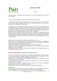

# 2011

high school fees. In addition, Mati provides "AsharAlo" school stipends for extremely poor families.

- thus the rate of drop-outs could be reduced 21% to 2,5% yearly

- No girl had to drop out of secondary school in the past 2 years, but 3 girls passed their class 10 exams. Before the project in all the 300 families, there was not a single girl who had passed these exams.

The substance of extreme poverty does not only refer to a lack of material means, but equally a lack of access to government services. They face barriers when trying to admit their children into schools, they are neglected with regard to potentiall free government medical care, they don't get access to the Social Security system, as these benefits are reaped by those with power and connections.

That is why Mati together with the women has increased the pressure on local political decision-makers. Through this joint effort, some of the women got access to social services, basic medical treatment, agricultural help or places under the Work for Cash program, which provides the women with a desirable additional income of 175 TK per day

These results encourage us to increase our scope of activities.

Since 2010, we have supported and trained 2 smaller local NGOs in Mymensingh which assist now 87 families, following Mati's approach. The "GIZ" plans to extend its support for the project during the next 3 years.

The focus will then be especially on food security and gender equality.

"Brot für die Welt" also extended their support from July 2012 onwards, with a stronger focus on Land Rights.

Therefore, the work with the extremely poor will play the most important role in our work within the next 3 years.

# MATI & Stiftung Brücke: Millennium Village Harguzipar

Our aim is to show how on the basis of one village with exemplary "from the bottom up" decision making and inclusion, could show what self defined development in the frame of the UN-Millenium Goals (MDGs) could look like.

Harguzirpar is a small village near Mymensingh with about 300 households, of which 70 % are poor or extremely poor.

At the beginning of our work in 2009, the villagers have set their priorities for improvement in the village:

Improving the sanitation, education for the children, and income generation possibilities for the women were top of their list

Within the last year, many things have started to change in Harguzirpar.

### **Pre-School**

In the Community Centre which was built in 2010 by the village people and Mati, a pre-school opened up in January 2011 36 children have been admitted.

67/1 S.A. SARKER ROAD, SANKIPARA, MYMENSINGH TEL: 01712-380888 www.matibangladesh.org,  $\overline{4}$ mati@matibangladesh.org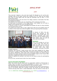

# 2011

They received 2 lessons a day and were taught the Bengali as well as the Latin alphabet, days of the week, months and numbers up to 20. These are the things they have to know before they can pass the admission test for class 1 in the government school.

One educated woman, who also lives in the village, receives a small salary from Mati for teaching the children.

The children do not have to pay any school fees, all the materials are for free.

As there was no pre-school in the village before, most children did not enter a reqular school because they could not pass the test.

In January of 2012, 31 children participated and passed the test for being admitted into the government school!

For parents and children alike, it was a special day when the new students went off to school in their brand-new uniforms together with accompanying Mati employees.



In January of 2012, the preschool was enlarged to two groups of 20 children each. The German volunteers sing, draw and play with the children during their weekly visits, as well as they teach some English.

# **Sanitation**

Since many families do not have a water pump, they take their water for daily use as well as their drinking water out of ponds wash which thev also in themselves. Obviously, this leads

to health problems.

Therefore, Mati financed 3 water pumps which have been installed by the village community. In order to reach fresh water, one has to go about 70-100 m deep into the ground. Beforehand, there were many discussions within the women groups because every family wanted to have the pump installed closest to their house. After long talks, a satisfactory solution for all could be found.

Costs for repairing the pumps in the future will be shared among the participating families.

On top of that, several shared toilets have been installed.

### **Income Generation Possibilities**

While men usually do day labour work as construction workers in Mymensingh or Dhaka, there are hardly any working possibilities for women. They wished for a sewing trainig, and thus a course was set up in the Community Centre.

The "Stiftung Brücke" financed the sewing machines and the costs for the training in 2011 for 25 women. After the 4 months- course, the women can keep the sewing machine and pay them back in small installments. They also receive a small loan in

67/1 S.A. SARKER ROAD, SANKIPARA, MYMENSINGH TEL: 01712-380888 www.matibangladesh.org,  $\overline{5}$ mati@matibangladesh.org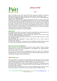

# 2011

order to be able to buy cloth and all the other equipment needed. The training, sewing machine and loan costs 150 Euros for each woman. The demand is high. The German Newspaper "Badische Zeitung" has just donated 20 "sewing packages" together with "Stiftung Brücke".

On top of that, 23 women have already received loans for buying cows or agricultural equipment, investing in small peddling businesses for fish or rice. They also engage in the community savings groups. 150 women are now active within the 5 groups in the village. The women save money into one "pot" out of which they give loans to the group members. At first, the women were sceptical as they did not trust each other. However, already 69 women have borrowed money from this "pot" in order to buy some chickens, medical treatment, school books and so on. During their weekly meetings they are paying the instalments back.

The groups receive regular training through Mati.

### **Health Care**

The villagers have hardly any access to health care facilities. As private doctors are expensive, people only consult them in questions of life and death.

In Octobre, Sabine Breisacher, a German nurse from Freiburg i. Brsg., came in order to train our Mati paramedics Rouf for 4 weeks.

The villagers on Harguzirpar were waiting in long lines for Sabine and Rouf to profit from this opportunity.

Stiftung Brücke had established a small Health Fund, out of which costs for medication are financed.

On top of that, through our collaboration with the BNSB Eye Hospital Mati conducted eye screenings and people could receive low-cost treatment and the hospital.

### **Film Crew arrives in Harguzirpar**

Britta Schneider and Zora Mieszczanin from Berlin came in Octobre in order to make a documentary movie about the developments in the village for the "Stiftung Brücke" with financial support from EED.

The aim was to show what rural develeopment within the frame of the millenium development goals means by recording everyday life and the improvements which were achieved by the villagers with the help of Mati.

# **MATI Health Fund:**

The "Mati Health Fund"is solely financed through private donations. Thus we are able to provide fast and unbureaucratic medical treatment for the poorest. This is how we financed Sabine Breisacher's work in 2011. She did not receive any salary.

After short verification of the case, we accompany the patient to the hospital, where one needs cash in order to be treated, which the poor obviously do not have, or provide important medicine.

Each month, about 15 people receive financial and logistical support when it comes to visiting a doctor. On top of that, 120 can receive urgently needed medicine.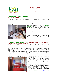



# **Mati Vocational Training Programmes: Comuputer training**

There are still many courses for underprivileged teenagers. Two teachers teach 4 courses every day.

Each 3-months-course accomodates of 15 participants, who take a test at the end and receive a certificate, with which they can apply for jobs. 40% of the participants are female.



Thanks to a donation from the **"Hessen** Agentur" we were able to offer an additional course about software applications and hardware repair and maintenance.

participants In the year 2011 152 successfully completed the course.

We also set up a course in the premises of PUS, one of our IDAEP partners, so that 15 teenagers of Kalibari Rd slum area had access to the course.

### "Carpentry training", financed by the German Federal Ministry for economic development and cooperation (BMZ)"

In February of 2011, construction works started in Borobilerpar, 8 km out of Mymensingh town.

Especially in rural areas, there are no vocational training possibilities for adolescents. If the family does not know any craftsman intimately, who takes their son as apprentice, then there is hardly any chance other than becoming rickshaw-driver or day labourer.

The third possibility is migration to Dhaka. Dhaka, however, can hardly accomodate all the migrants who come from the villages and living- as well as workingconditions are almost unbearable, especially for the untrained.

That is why it is very important for rural development to create vocational training



possibilities

Building work for the plannen carpentry training was finished by the end of September, despites a rainy spring season. The centre has a workshop and a training room for theoretical lessons, a small office and sanitary facilities are attached.

As Borobilerpar is situated in a flood prone area, the centre was built on stilts.

The first cours for 20 student shall start in May. In order to make the project more

NGH TEL: 01712-380888 www.matibangladesh.org.  $\overline{7}$ mati@matibangladesh.org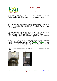

# 2011

sustainable, the students will already make simple furniture such as tables and chairs which can be sold nearby.

25% of the project were financed by "Mati e.V." Total costs were 46.400 €.

# Mati Schol in Hururikanda, Sherpur District:

At the moment 300 students go to the Mati School. There are classes 1-7, as well as a Playgroup. The students are tought by 5 female and 3 male teachers. The school is financed by private donations, "Mati e.V." and through several support schools in Germany.

# Again, Mati 5th class became first in central exams of the Thana

Mati students could keep up the good example they set in the previous for years, and achieved once more the best result in the centralized government exams of all kore than hundred primary schools in Nakla Thana. Every student passed.

Mati's teachers have offered special exam coaaching for weeks in order to provide preparation. Both students and teachers were extremely happy because of the result.

2011 was the year of maintenance and construction at the Mati School. Many areas were in urgent need of repair, in the  $13<sup>th</sup>$  year of the school's existence.

With the 2500€ assistance received from the  $n^3$ . Weltladen Ludwigsburg", urgent renovation of the sanitariy facilities, which had originally been constructed fro just inehundred students, could be done. The students were very happy about the new, brighter and bigger toilets and already set up a cleaning team to make sure they keep their looks for a while.

The <sub>n</sub>3. Weltladen Ludwigsburg" has supported Mati's work for the last five years now.

Toilets - before



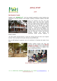



# **Mati Students' Hostel:**

Together with "DESWOS e.V", who have already supported us when building two classrooms, we have started a new project: building a students' hostel at the Mati School.



Since our students are from very poor families, every now and then, parents leave the village, going to Dhaka, hoping to find work there. As they often don't know where they will be staying, nor if they actually will find work, it is a rather difficult situation. If there are no relatives in the village who take care of the children, the children have to move too. This means that they will drop out of school and become another one probably among the inumerous street children begging in

Dhaka's streets

The Mati Hostel should become a home for 10 boys and girls from such migrant families. Their up-keep for one year will cost around 360 Euros.

We are still looking for sponsors who will contribute to financing the costs of one child.



Another building project this year was financed with the support of the German **Embassy in Dhaka: a new creative room** for the school children to explore their many undiscovered talents.



School children enjoying their in-school lunch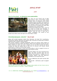



### Farm for the school - an attempt to more sustainability



Our "Farm for the school" had to fight great losses in 2011. In November, all 60 chickens died of influenza, which killed chickens all over the region. The money we earned by selling eggs and little chicks was just enough to pay for 30 new chickens, since the price for chickens has raised 70% compared to the summer before.

We had also bought 8 dairy cows, which all gave birth to a little calf. Unluckily, 3 calves died and that was why we sold their mothers. Now we have 4 cows and 5 calves. Altogether, the income of this

project was rather small. We hope to be more lucky in 2012.

### Schoolstipendprogram "AsharAlo" - Ray of Light

Along with private sponsors mainly from Germany, but also from Luxembourg, Switzerland, Norway, Denmark and Ireland, Mati continued to finance poor childrens' education with a monthly school stipend.

128 children received a monthly scholarship, which the parents mainly spend on private lessons and food (2010: 90 children). Most of the supported children are girls When deciding to whom we grant a stipend, we do not only consider the family income, but also the visible wish of the child to continue with school. Actual performance in school is not the main criteria.

Mati employees are always in touch with the families in order to support as soon as there is a problem and to control the use of the stipend money.



The first children who were supported since 2005, did their A-Levels now and are starting their studies in college or at a university. Before, this was absolutely impossible for the extremely poor.

We are celebrating this great success with them!

Costs are 80 - 120 Euros a year to support a child.

From the back to the front: Selim (back), Kadhiza & Aisha (middle) did their A-Level and are starting their studies at a university - thanks to AsharAlo.

67/1 S.A. SARKER ROAD, SANKIPARA, MYMENSINGH TEL: 01712-380888 www.matibangladesh.org, 10 mati@matibangladesh.org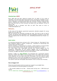



### **Volunteering at MATI**

Since 2003 Mati has been welcoming people from all walks of life to help as volunteers, learn first-hand about third-world issues, and become multipliers on oneworld issues such as production standards and consumer attitude, climate change, poverty, solidarity and responsibility when they are back in Europe. Between July 2011 and June 2012 we could welcome 18 women and men between 18 and 55 years of age

Interested to be a volunteer with Mati as well? Then send an email to info@matibangladesh.org

### Weltwärts...

Is the name of the German government sponsored volunteer program for young people up to the age of 28.

Mati can welcome two Weltwärts-voluntees per year, who have to stay at least 6 months. The German host organisation who puts interested volunteers in touch with Mati and prepares them for their stay is the "Nothelfergemeinschaft der Freude" e.V. in Düren.

### **Quick notice:**

Our awareness-campaigns have continued in 2011. Climate change and "Eve-teasing" have been presented weekly in schools, colleges and universities in Mymensingh and venues close to the Mati-school.

We have initiated a "climate-project" in schools, in which students can develop ideas about a climate-friendly school. The best ideas shall be awarded with a prize.

The "Cafe Retro" from Copenhagen provided the financial support for this competition. Additionally, we are working together with 10 Highschools in Mymensingh, in order to talk about the growing problem of public verbal degradation of women, so-called "eve-teasing" and try to find solutions.

Starting in 2006, our "Soup Kitchen" has developed into a permanent program Especially mothers with children and old people come to the weekly free communal lunch. Regularly, we can count more than 100 guests. The joint meal is a good possibility to stay in touch with the people who live in the slum communities close to our head office and it is a good possibility for an exchange on eye-level The meal for more than 100 people costs between 10 and 12 Euros each Thursday.

### **How to Support Us?**

There are several projects where we need your support to accomplish them. For the following we would be grateful for donations:

 $\hat{\varphi}$  The monthly upkeep of our Mati – School (total running cost = 1000 Euros per month)

67/1 S.A. SARKER ROAD, SANKIPARA, MYMENSINGH TEL: 01712-380888 www.matibangladesh.org, 11 mati@matibangladesh.org